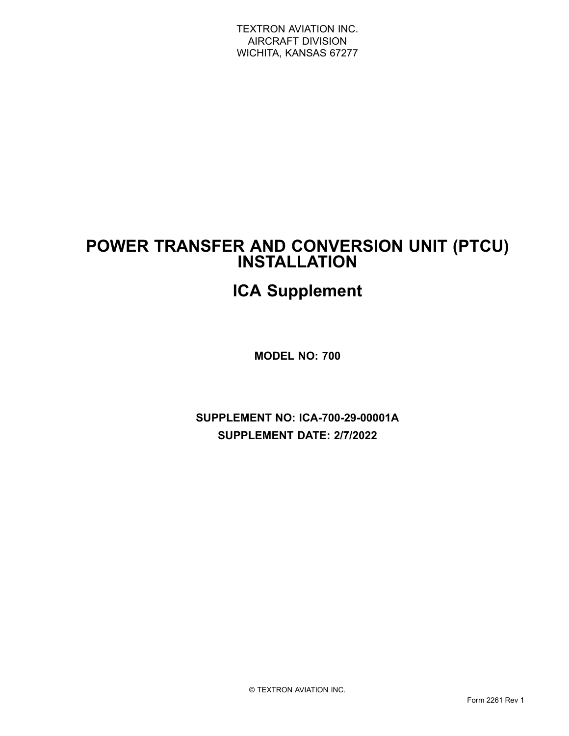## **POWER TRANSFER AND CONVERSION UNIT (PTCU) INSTALLATION**

# **ICA Supplement**

**MODEL NO: 700**

**SUPPLEMENT NO: ICA-700-29-00001A SUPPLEMENT DATE: 2/7/2022**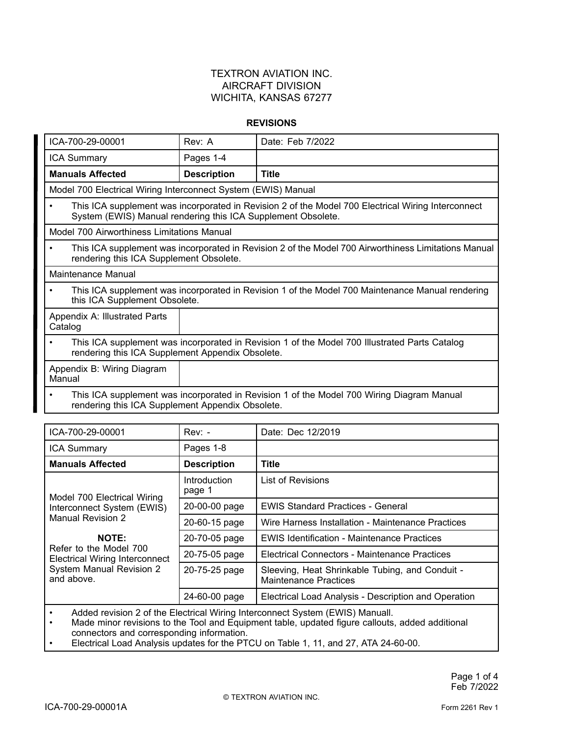#### **REVISIONS**

| ICA-700-29-00001                         |                                                                                                                                                                    | Rev: A                                                                                                                                            | Date: Feb 7/2022 |  |  |
|------------------------------------------|--------------------------------------------------------------------------------------------------------------------------------------------------------------------|---------------------------------------------------------------------------------------------------------------------------------------------------|------------------|--|--|
| <b>ICA Summary</b>                       |                                                                                                                                                                    | Pages 1-4                                                                                                                                         |                  |  |  |
|                                          |                                                                                                                                                                    |                                                                                                                                                   |                  |  |  |
| <b>Manuals Affected</b>                  |                                                                                                                                                                    | <b>Description</b>                                                                                                                                | <b>Title</b>     |  |  |
|                                          | Model 700 Electrical Wiring Interconnect System (EWIS) Manual                                                                                                      |                                                                                                                                                   |                  |  |  |
| ٠                                        | This ICA supplement was incorporated in Revision 2 of the Model 700 Electrical Wiring Interconnect<br>System (EWIS) Manual rendering this ICA Supplement Obsolete. |                                                                                                                                                   |                  |  |  |
|                                          | Model 700 Airworthiness Limitations Manual                                                                                                                         |                                                                                                                                                   |                  |  |  |
| $\bullet$                                | This ICA supplement was incorporated in Revision 2 of the Model 700 Airworthiness Limitations Manual<br>rendering this ICA Supplement Obsolete.                    |                                                                                                                                                   |                  |  |  |
| Maintenance Manual                       |                                                                                                                                                                    |                                                                                                                                                   |                  |  |  |
|                                          | This ICA supplement was incorporated in Revision 1 of the Model 700 Maintenance Manual rendering<br>this ICA Supplement Obsolete.                                  |                                                                                                                                                   |                  |  |  |
| Appendix A: Illustrated Parts<br>Catalog |                                                                                                                                                                    |                                                                                                                                                   |                  |  |  |
| ٠                                        |                                                                                                                                                                    | This ICA supplement was incorporated in Revision 1 of the Model 700 Illustrated Parts Catalog<br>rendering this ICA Supplement Appendix Obsolete. |                  |  |  |
| Appendix B: Wiring Diagram<br>Manual     |                                                                                                                                                                    |                                                                                                                                                   |                  |  |  |
| ٠                                        | This ICA supplement was incorporated in Revision 1 of the Model 700 Wiring Diagram Manual<br>rendering this ICA Supplement Appendix Obsolete.                      |                                                                                                                                                   |                  |  |  |

| ICA-700-29-00001                                                | $Rev: -$               | Date: Dec 12/2019                                                        |
|-----------------------------------------------------------------|------------------------|--------------------------------------------------------------------------|
| <b>ICA Summary</b>                                              | Pages 1-8              |                                                                          |
| <b>Manuals Affected</b>                                         | <b>Description</b>     | <b>Title</b>                                                             |
| Model 700 Electrical Wiring                                     | Introduction<br>page 1 | List of Revisions                                                        |
| Interconnect System (EWIS)                                      | 20-00-00 page          | <b>EWIS Standard Practices - General</b>                                 |
| <b>Manual Revision 2</b>                                        | 20-60-15 page          | Wire Harness Installation - Maintenance Practices                        |
| <b>NOTE:</b>                                                    | 20-70-05 page          | <b>EWIS Identification - Maintenance Practices</b>                       |
| Refer to the Model 700<br><b>Electrical Wiring Interconnect</b> | 20-75-05 page          | Electrical Connectors - Maintenance Practices                            |
| System Manual Revision 2<br>and above.                          | 20-75-25 page          | Sleeving, Heat Shrinkable Tubing, and Conduit -<br>Maintenance Practices |
|                                                                 | 24-60-00 page          | Electrical Load Analysis - Description and Operation                     |

•Added revision 2 of the Electrical Wiring Interconnect System (EWIS) Manuall.

•• Made minor revisions to the Tool and Equipment table, updated figure callouts, added additiona connectors and corresponding information.

•Electrical Load Analysis updates for the PTCU on Table 1, 11, and 27, ATA 24-60-00.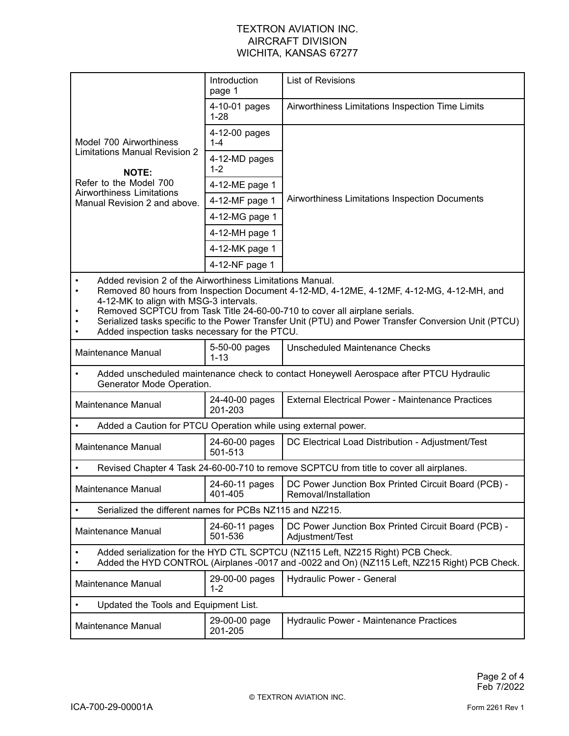|                                                                                                                                                                                                                                                                                                                                                                                                                                                      | Introduction<br>page 1                                                                                                                                                           | <b>List of Revisions</b>                                                                |  |  |
|------------------------------------------------------------------------------------------------------------------------------------------------------------------------------------------------------------------------------------------------------------------------------------------------------------------------------------------------------------------------------------------------------------------------------------------------------|----------------------------------------------------------------------------------------------------------------------------------------------------------------------------------|-----------------------------------------------------------------------------------------|--|--|
|                                                                                                                                                                                                                                                                                                                                                                                                                                                      | 4-10-01 pages<br>$1 - 28$                                                                                                                                                        | Airworthiness Limitations Inspection Time Limits                                        |  |  |
| Model 700 Airworthiness                                                                                                                                                                                                                                                                                                                                                                                                                              | 4-12-00 pages<br>$1 - 4$                                                                                                                                                         |                                                                                         |  |  |
| <b>Limitations Manual Revision 2</b><br><b>NOTE:</b>                                                                                                                                                                                                                                                                                                                                                                                                 | 4-12-MD pages<br>$1 - 2$                                                                                                                                                         | Airworthiness Limitations Inspection Documents                                          |  |  |
| Refer to the Model 700<br><b>Airworthiness Limitations</b>                                                                                                                                                                                                                                                                                                                                                                                           | 4-12-ME page 1                                                                                                                                                                   |                                                                                         |  |  |
| Manual Revision 2 and above.                                                                                                                                                                                                                                                                                                                                                                                                                         | 4-12-MF page 1                                                                                                                                                                   |                                                                                         |  |  |
|                                                                                                                                                                                                                                                                                                                                                                                                                                                      | 4-12-MG page 1                                                                                                                                                                   |                                                                                         |  |  |
|                                                                                                                                                                                                                                                                                                                                                                                                                                                      | 4-12-MH page 1                                                                                                                                                                   |                                                                                         |  |  |
|                                                                                                                                                                                                                                                                                                                                                                                                                                                      | 4-12-MK page 1                                                                                                                                                                   |                                                                                         |  |  |
|                                                                                                                                                                                                                                                                                                                                                                                                                                                      | 4-12-NF page 1                                                                                                                                                                   |                                                                                         |  |  |
| Added revision 2 of the Airworthiness Limitations Manual.<br>Removed 80 hours from Inspection Document 4-12-MD, 4-12ME, 4-12MF, 4-12-MG, 4-12-MH, and<br>$\bullet$<br>4-12-MK to align with MSG-3 intervals.<br>Removed SCPTCU from Task Title 24-60-00-710 to cover all airplane serials.<br>Serialized tasks specific to the Power Transfer Unit (PTU) and Power Transfer Conversion Unit (PTCU)<br>Added inspection tasks necessary for the PTCU. |                                                                                                                                                                                  |                                                                                         |  |  |
| Maintenance Manual                                                                                                                                                                                                                                                                                                                                                                                                                                   | 5-50-00 pages<br>$1 - 13$                                                                                                                                                        | Unscheduled Maintenance Checks                                                          |  |  |
| Added unscheduled maintenance check to contact Honeywell Aerospace after PTCU Hydraulic<br>$\bullet$<br>Generator Mode Operation.                                                                                                                                                                                                                                                                                                                    |                                                                                                                                                                                  |                                                                                         |  |  |
| Maintenance Manual                                                                                                                                                                                                                                                                                                                                                                                                                                   | 24-40-00 pages<br>201-203                                                                                                                                                        | <b>External Electrical Power - Maintenance Practices</b>                                |  |  |
| $\bullet$                                                                                                                                                                                                                                                                                                                                                                                                                                            | Added a Caution for PTCU Operation while using external power.                                                                                                                   |                                                                                         |  |  |
| Maintenance Manual                                                                                                                                                                                                                                                                                                                                                                                                                                   | 24-60-00 pages<br>501-513                                                                                                                                                        | DC Electrical Load Distribution - Adjustment/Test                                       |  |  |
|                                                                                                                                                                                                                                                                                                                                                                                                                                                      |                                                                                                                                                                                  | Revised Chapter 4 Task 24-60-00-710 to remove SCPTCU from title to cover all airplanes. |  |  |
| Maintenance Manual                                                                                                                                                                                                                                                                                                                                                                                                                                   | 24-60-11 pages<br>401-405                                                                                                                                                        | DC Power Junction Box Printed Circuit Board (PCB) -<br>Removal/Installation             |  |  |
| Serialized the different names for PCBs NZ115 and NZ215.<br>$\bullet$                                                                                                                                                                                                                                                                                                                                                                                |                                                                                                                                                                                  |                                                                                         |  |  |
| <b>Maintenance Manual</b>                                                                                                                                                                                                                                                                                                                                                                                                                            | 24-60-11 pages<br>501-536                                                                                                                                                        | DC Power Junction Box Printed Circuit Board (PCB) -<br>Adjustment/Test                  |  |  |
|                                                                                                                                                                                                                                                                                                                                                                                                                                                      | Added serialization for the HYD CTL SCPTCU (NZ115 Left, NZ215 Right) PCB Check.<br>Added the HYD CONTROL (Airplanes -0017 and -0022 and On) (NZ115 Left, NZ215 Right) PCB Check. |                                                                                         |  |  |
| <b>Maintenance Manual</b>                                                                                                                                                                                                                                                                                                                                                                                                                            | 29-00-00 pages<br>$1 - 2$                                                                                                                                                        | Hydraulic Power - General                                                               |  |  |
| Updated the Tools and Equipment List.<br>$\bullet$                                                                                                                                                                                                                                                                                                                                                                                                   |                                                                                                                                                                                  |                                                                                         |  |  |
| <b>Maintenance Manual</b>                                                                                                                                                                                                                                                                                                                                                                                                                            | 29-00-00 page<br>201-205                                                                                                                                                         | Hydraulic Power - Maintenance Practices                                                 |  |  |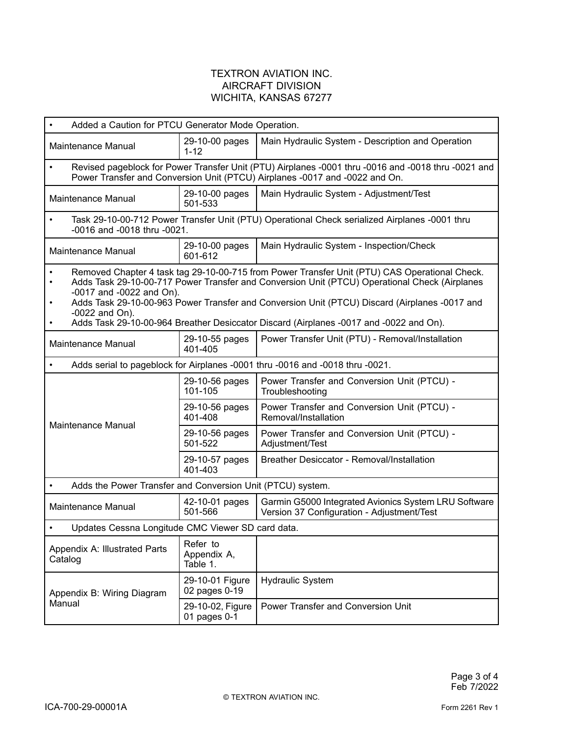| Added a Caution for PTCU Generator Mode Operation.<br>$\bullet$                                                                                                                                                                                                                                                                                                                                                                                                                  |                                                                                                                                                                                    |                                                                                                    |  |  |  |
|----------------------------------------------------------------------------------------------------------------------------------------------------------------------------------------------------------------------------------------------------------------------------------------------------------------------------------------------------------------------------------------------------------------------------------------------------------------------------------|------------------------------------------------------------------------------------------------------------------------------------------------------------------------------------|----------------------------------------------------------------------------------------------------|--|--|--|
| Maintenance Manual                                                                                                                                                                                                                                                                                                                                                                                                                                                               | 29-10-00 pages<br>$1 - 12$                                                                                                                                                         | Main Hydraulic System - Description and Operation                                                  |  |  |  |
| $\bullet$                                                                                                                                                                                                                                                                                                                                                                                                                                                                        | Revised pageblock for Power Transfer Unit (PTU) Airplanes -0001 thru -0016 and -0018 thru -0021 and<br>Power Transfer and Conversion Unit (PTCU) Airplanes -0017 and -0022 and On. |                                                                                                    |  |  |  |
| Maintenance Manual                                                                                                                                                                                                                                                                                                                                                                                                                                                               | 29-10-00 pages<br>501-533                                                                                                                                                          | Main Hydraulic System - Adjustment/Test                                                            |  |  |  |
| $\bullet$                                                                                                                                                                                                                                                                                                                                                                                                                                                                        | Task 29-10-00-712 Power Transfer Unit (PTU) Operational Check serialized Airplanes -0001 thru<br>-0016 and -0018 thru -0021.                                                       |                                                                                                    |  |  |  |
| Maintenance Manual                                                                                                                                                                                                                                                                                                                                                                                                                                                               | 29-10-00 pages<br>601-612                                                                                                                                                          | Main Hydraulic System - Inspection/Check                                                           |  |  |  |
| Removed Chapter 4 task tag 29-10-00-715 from Power Transfer Unit (PTU) CAS Operational Check.<br>$\bullet$<br>Adds Task 29-10-00-717 Power Transfer and Conversion Unit (PTCU) Operational Check (Airplanes<br>$\bullet$<br>-0017 and -0022 and On).<br>Adds Task 29-10-00-963 Power Transfer and Conversion Unit (PTCU) Discard (Airplanes -0017 and<br>$-0022$ and On).<br>Adds Task 29-10-00-964 Breather Desiccator Discard (Airplanes -0017 and -0022 and On).<br>$\bullet$ |                                                                                                                                                                                    |                                                                                                    |  |  |  |
| Maintenance Manual                                                                                                                                                                                                                                                                                                                                                                                                                                                               | 29-10-55 pages<br>401-405                                                                                                                                                          | Power Transfer Unit (PTU) - Removal/Installation                                                   |  |  |  |
| $\bullet$                                                                                                                                                                                                                                                                                                                                                                                                                                                                        |                                                                                                                                                                                    | Adds serial to pageblock for Airplanes -0001 thru -0016 and -0018 thru -0021.                      |  |  |  |
|                                                                                                                                                                                                                                                                                                                                                                                                                                                                                  | 29-10-56 pages<br>101-105                                                                                                                                                          | Power Transfer and Conversion Unit (PTCU) -<br>Troubleshooting                                     |  |  |  |
| Maintenance Manual                                                                                                                                                                                                                                                                                                                                                                                                                                                               | 29-10-56 pages<br>401-408                                                                                                                                                          | Power Transfer and Conversion Unit (PTCU) -<br>Removal/Installation                                |  |  |  |
|                                                                                                                                                                                                                                                                                                                                                                                                                                                                                  | 29-10-56 pages<br>501-522                                                                                                                                                          | Power Transfer and Conversion Unit (PTCU) -<br>Adjustment/Test                                     |  |  |  |
|                                                                                                                                                                                                                                                                                                                                                                                                                                                                                  | 29-10-57 pages<br>401-403                                                                                                                                                          | <b>Breather Desiccator - Removal/Installation</b>                                                  |  |  |  |
| Adds the Power Transfer and Conversion Unit (PTCU) system.<br>$\bullet$                                                                                                                                                                                                                                                                                                                                                                                                          |                                                                                                                                                                                    |                                                                                                    |  |  |  |
| Maintenance Manual                                                                                                                                                                                                                                                                                                                                                                                                                                                               | 42-10-01 pages<br>501-566                                                                                                                                                          | Garmin G5000 Integrated Avionics System LRU Software<br>Version 37 Configuration - Adjustment/Test |  |  |  |
| Updates Cessna Longitude CMC Viewer SD card data.                                                                                                                                                                                                                                                                                                                                                                                                                                |                                                                                                                                                                                    |                                                                                                    |  |  |  |
| Appendix A: Illustrated Parts<br>Catalog                                                                                                                                                                                                                                                                                                                                                                                                                                         | Refer to<br>Appendix A,<br>Table 1.                                                                                                                                                |                                                                                                    |  |  |  |
| Appendix B: Wiring Diagram                                                                                                                                                                                                                                                                                                                                                                                                                                                       | 29-10-01 Figure<br>02 pages 0-19                                                                                                                                                   | <b>Hydraulic System</b>                                                                            |  |  |  |
| Manual                                                                                                                                                                                                                                                                                                                                                                                                                                                                           | 29-10-02, Figure<br>01 pages 0-1                                                                                                                                                   | Power Transfer and Conversion Unit                                                                 |  |  |  |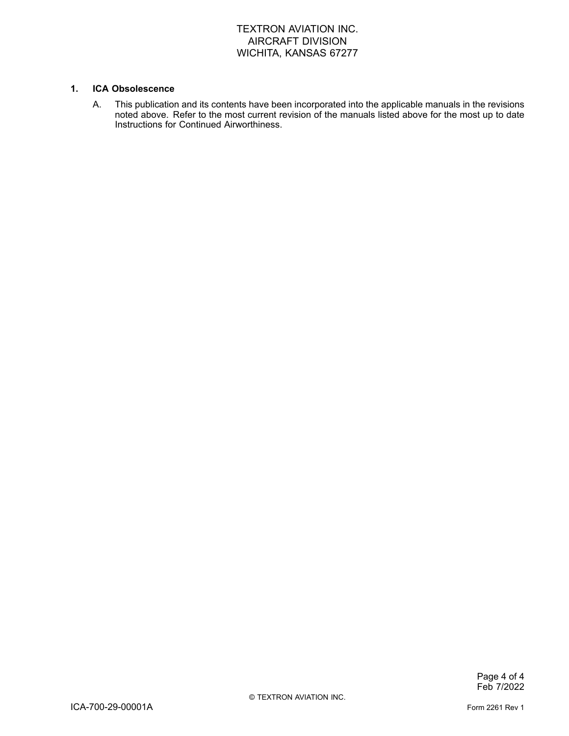#### **1. ICA Obsolescence**

A. This publication and its contents have been incorporated into the applicable manuals in the revisions noted above. Refer to the most current revision of the manuals listed above for the most up to date Instructions for Continued Airworthiness.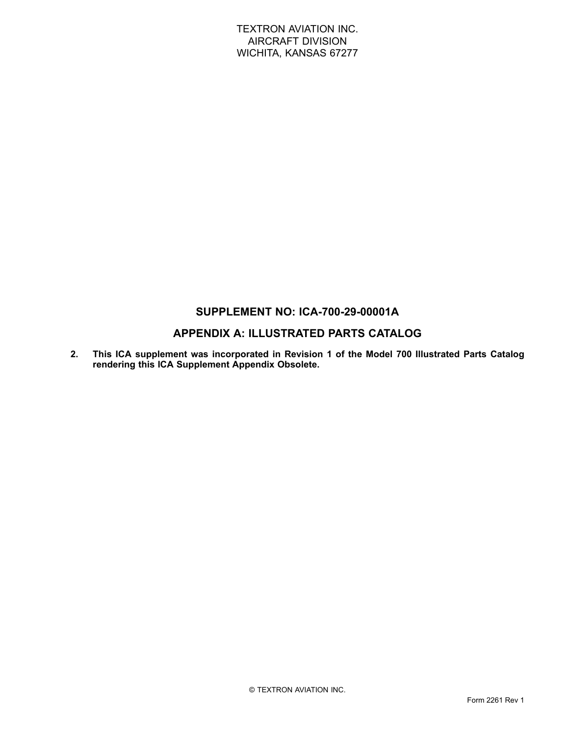## **SUPPLEMENT NO: ICA-700-29-00001A**

## **APPENDIX A: ILLUSTRATED PARTS CATALOG**

**2. This ICA supplement was incorporated in Revision 1 of the Model 700 Illustrated Parts Catalog rendering this ICA Supplement Appendix Obsolete.**